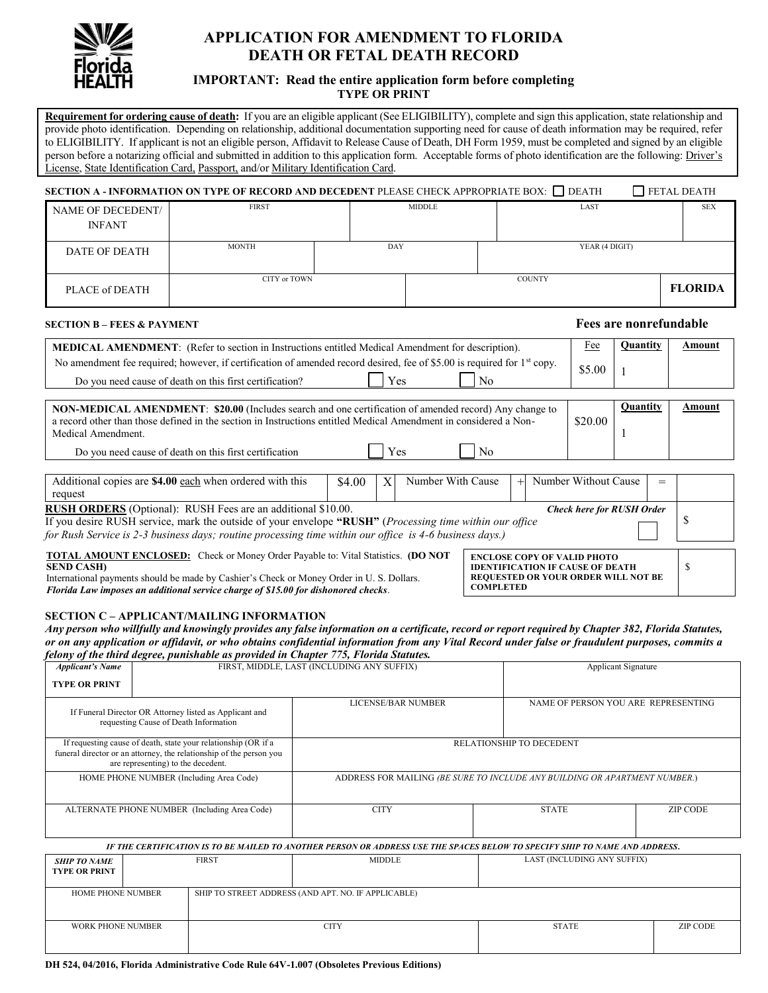

# **APPLICATION FOR AMENDMENT TO FLORIDA DEATH OR FETAL DEATH RECORD**

## **IMPORTANT: Read the entire application form before completing TYPE OR PRINT**

**Requirement for ordering cause of death:** If you are an eligible applicant (See ELIGIBILITY), complete and sign this application, state relationship and provide photo identification. Depending on relationship, additional documentation supporting need for cause of death information may be required, refer to ELIGIBILITY. If applicant is not an eligible person, Affidavit to Release Cause of Death, DH Form 1959, must be completed and signed by an eligible person before a notarizing official and submitted in addition to this application form. Acceptable forms of photo identification are the following: Driver's License, State Identification Card, Passport, and/or Military Identification Card.

|                                    | SECTION A - INFORMATION ON TYPE OF RECORD AND DECEDENT PLEASE CHECK APPROPRIATE BOX: DEATH |     |                       |                |  | <b>FETAL DEATH</b> |  |
|------------------------------------|--------------------------------------------------------------------------------------------|-----|-----------------------|----------------|--|--------------------|--|
| NAME OF DECEDENT/<br><b>INFANT</b> | <b>FIRST</b>                                                                               |     | LAST<br><b>MIDDLE</b> |                |  | <b>SEX</b>         |  |
| DATE OF DEATH                      | <b>MONTH</b>                                                                               | DAY |                       | YEAR (4 DIGIT) |  |                    |  |
| PLACE of DEATH                     | CITY or TOWN                                                                               |     |                       | <b>COUNTY</b>  |  | <b>FLORIDA</b>     |  |

#### **SECTION B – FEES & PAYMENT Fees are nonrefundable**

| <b>MEDICAL AMENDMENT:</b> (Refer to section in Instructions entitled Medical Amendment for description).                            |     |                | Fee    | Ouantitv | Amount |
|-------------------------------------------------------------------------------------------------------------------------------------|-----|----------------|--------|----------|--------|
| No amendment fee required; however, if certification of amended record desired, fee of \$5.00 is required for 1 <sup>st</sup> copy. |     |                | \$5.00 |          |        |
| Do you need cause of death on this first certification?                                                                             | Yes | N <sub>0</sub> |        |          |        |

| NON-MEDICAL AMENDMENT: \$20.00 (Includes search and one certification of amended record) Any change to<br>a record other than those defined in the section in Instructions entitled Medical Amendment in considered a Non-<br>Medical Amendment. |     |                | \$20.00 | Ouantitv | Amount |
|--------------------------------------------------------------------------------------------------------------------------------------------------------------------------------------------------------------------------------------------------|-----|----------------|---------|----------|--------|
| Do you need cause of death on this first certification                                                                                                                                                                                           | Yes | N <sub>0</sub> |         |          |        |

| Additional copies are \$4.00 each when ordered with this<br>request                                                                     | \$4.00 |  | Number With Cause                       |  | $+$ | Number Without Cause             | $=$ |  |
|-----------------------------------------------------------------------------------------------------------------------------------------|--------|--|-----------------------------------------|--|-----|----------------------------------|-----|--|
|                                                                                                                                         |        |  |                                         |  |     |                                  |     |  |
| <b>RUSH ORDERS</b> (Optional): RUSH Fees are an additional \$10.00.                                                                     |        |  |                                         |  |     | <b>Check here for RUSH Order</b> |     |  |
| If you desire RUSH service, mark the outside of your envelope "RUSH" (Processing time within our office                                 |        |  |                                         |  |     |                                  |     |  |
| for Rush Service is 2-3 business days; routine processing time within our office is 4-6 business days.)                                 |        |  |                                         |  |     |                                  |     |  |
| <b>TOTAL AMOUNT ENCLOSED:</b> Check or Money Order Payable to: Vital Statistics. (DO NOT<br><b>ENCLOSE COPY OF VALID PHOTO</b>          |        |  |                                         |  |     |                                  |     |  |
| <b>SEND CASH)</b>                                                                                                                       |        |  | <b>IDENTIFICATION IF CAUSE OF DEATH</b> |  |     |                                  |     |  |
| <b>REQUESTED OR YOUR ORDER WILL NOT BE</b><br>International payments should be made by Cashier's Check or Money Order in U. S. Dollars. |        |  |                                         |  |     |                                  |     |  |
| COMPLETED<br>Florida Law imposes an additional service charge of \$15.00 for dishonored checks.                                         |        |  |                                         |  |     |                                  |     |  |

#### **SECTION C – APPLICANT/MAILING INFORMATION**

*Any person who willfully and knowingly provides any false information on a certificate, record or report required by Chapter 382, Florida Statutes, or on any application or affidavit, or who obtains confidential information from any Vital Record under false or fraudulent purposes, commits a felony of the third degree, punishable as provided in Chapter 775, Florida Statutes.*

| <b>Applicant's Name</b>                      |                                    |                                                                                                                                       | FIRST, MIDDLE, LAST (INCLUDING ANY SUFFIX)                                                                                  | <b>Applicant Signature</b>      |                 |  |  |
|----------------------------------------------|------------------------------------|---------------------------------------------------------------------------------------------------------------------------------------|-----------------------------------------------------------------------------------------------------------------------------|---------------------------------|-----------------|--|--|
| <b>TYPE OR PRINT</b>                         |                                    |                                                                                                                                       |                                                                                                                             |                                 |                 |  |  |
|                                              |                                    | If Funeral Director OR Attorney listed as Applicant and<br>requesting Cause of Death Information                                      | NAME OF PERSON YOU ARE REPRESENTING<br><b>LICENSE/BAR NUMBER</b>                                                            |                                 |                 |  |  |
|                                              | are representing) to the decedent. | If requesting cause of death, state your relationship (OR if a<br>funeral director or an attorney, the relationship of the person you |                                                                                                                             | <b>RELATIONSHIP TO DECEDENT</b> |                 |  |  |
|                                              |                                    | HOME PHONE NUMBER (Including Area Code)                                                                                               | ADDRESS FOR MAILING (BE SURE TO INCLUDE ANY BUILDING OR APARTMENT NUMBER.)                                                  |                                 |                 |  |  |
| ALTERNATE PHONE NUMBER (Including Area Code) |                                    |                                                                                                                                       | <b>CITY</b>                                                                                                                 | <b>STATE</b><br><b>ZIP CODE</b> |                 |  |  |
|                                              |                                    |                                                                                                                                       | IF THE CERTIFICATION IS TO BE MAILED TO ANOTHER PERSON OR ADDRESS USE THE SPACES BELOW TO SPECIFY SHIP TO NAME AND ADDRESS. |                                 |                 |  |  |
| <b>SHIP TO NAME</b><br><b>TYPE OR PRINT</b>  |                                    | <b>FIRST</b>                                                                                                                          | <b>MIDDLE</b>                                                                                                               | LAST (INCLUDING ANY SUFFIX)     |                 |  |  |
| <b>HOME PHONE NUMBER</b>                     |                                    |                                                                                                                                       | SHIP TO STREET ADDRESS (AND APT. NO. IF APPLICABLE)                                                                         |                                 |                 |  |  |
| <b>WORK PHONE NUMBER</b>                     |                                    |                                                                                                                                       | <b>CITY</b>                                                                                                                 | <b>STATE</b>                    | <b>ZIP CODE</b> |  |  |